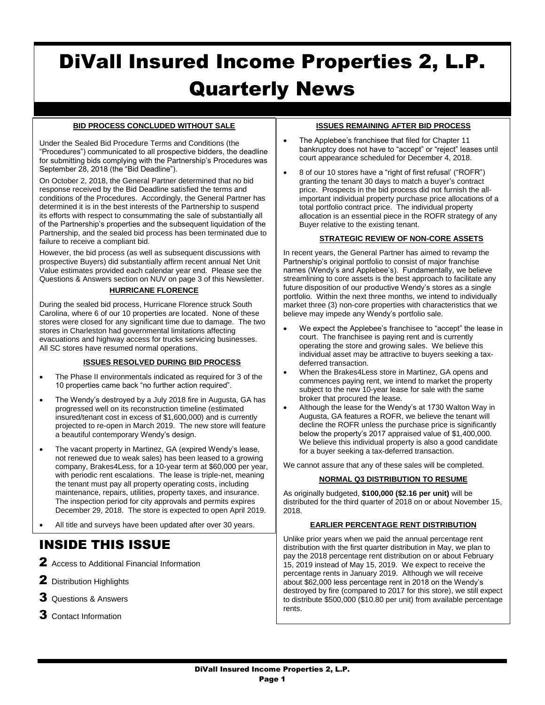# DiVall Insured Income Properties 2, L.P. Quarterly News

# **BID PROCESS CONCLUDED WITHOUT SALE**

Under the Sealed Bid Procedure Terms and Conditions (the "Procedures") communicated to all prospective bidders, the deadline for submitting bids complying with the Partnership's Procedures was September 28, 2018 (the "Bid Deadline").

On October 2, 2018, the General Partner determined that no bid response received by the Bid Deadline satisfied the terms and conditions of the Procedures. Accordingly, the General Partner has determined it is in the best interests of the Partnership to suspend its efforts with respect to consummating the sale of substantially all of the Partnership's properties and the subsequent liquidation of the Partnership, and the sealed bid process has been terminated due to failure to receive a compliant bid.

However, the bid process (as well as subsequent discussions with prospective Buyers) did substantially affirm recent annual Net Unit Value estimates provided each calendar year end. Please see the Questions & Answers section on NUV on page 3 of this Newsletter.

# **HURRICANE FLORENCE**

During the sealed bid process, Hurricane Florence struck South Carolina, where 6 of our 10 properties are located. None of these stores were closed for any significant time due to damage. The two stores in Charleston had governmental limitations affecting evacuations and highway access for trucks servicing businesses. All SC stores have resumed normal operations.

#### **ISSUES RESOLVED DURING BID PROCESS**

- The Phase II environmentals indicated as required for 3 of the 10 properties came back "no further action required".
- The Wendy's destroyed by a July 2018 fire in Augusta, GA has progressed well on its reconstruction timeline (estimated insured/tenant cost in excess of \$1,600,000) and is currently projected to re-open in March 2019. The new store will feature a beautiful contemporary Wendy's design.
- The vacant property in Martinez, GA (expired Wendy's lease, not renewed due to weak sales) has been leased to a growing company, Brakes4Less, for a 10-year term at \$60,000 per year, with periodic rent escalations. The lease is triple-net, meaning the tenant must pay all property operating costs, including maintenance, repairs, utilities, property taxes, and insurance. The inspection period for city approvals and permits expires December 29, 2018. The store is expected to open April 2019.

All title and surveys have been updated after over 30 years.

# INSIDE THIS ISSUE

- 2 Access to Additional Financial Information
- 2 Distribution Highlights
- **3** Questions & Answers
- **3** Contact Information

# **ISSUES REMAINING AFTER BID PROCESS**

- The Applebee's franchisee that filed for Chapter 11 bankruptcy does not have to "accept" or "reject" leases until court appearance scheduled for December 4, 2018.
- 8 of our 10 stores have a "right of first refusal' ("ROFR") granting the tenant 30 days to match a buyer's contract price. Prospects in the bid process did not furnish the allimportant individual property purchase price allocations of a total portfolio contract price. The individual property allocation is an essential piece in the ROFR strategy of any Buyer relative to the existing tenant.

#### **STRATEGIC REVIEW OF NON-CORE ASSETS**

In recent years, the General Partner has aimed to revamp the Partnership's original portfolio to consist of major franchise names (Wendy's and Applebee's). Fundamentally, we believe streamlining to core assets is the best approach to facilitate any future disposition of our productive Wendy's stores as a single portfolio. Within the next three months, we intend to individually market three (3) non-core properties with characteristics that we believe may impede any Wendy's portfolio sale.

- We expect the Applebee's franchisee to "accept" the lease in court. The franchisee is paying rent and is currently operating the store and growing sales. We believe this individual asset may be attractive to buyers seeking a taxdeferred transaction.
- When the Brakes4Less store in Martinez, GA opens and commences paying rent, we intend to market the property subject to the new 10-year lease for sale with the same broker that procured the lease.
- Although the lease for the Wendy's at 1730 Walton Way in Augusta, GA features a ROFR, we believe the tenant will decline the ROFR unless the purchase price is significantly below the property's 2017 appraised value of \$1,400,000. We believe this individual property is also a good candidate for a buyer seeking a tax-deferred transaction.

We cannot assure that any of these sales will be completed.

#### **NORMAL Q3 DISTRIBUTION TO RESUME**

As originally budgeted, **\$100,000 (\$2.16 per unit)** will be distributed for the third quarter of 2018 on or about November 15, 2018.

#### **EARLIER PERCENTAGE RENT DISTRIBUTION**

Unlike prior years when we paid the annual percentage rent distribution with the first quarter distribution in May, we plan to pay the 2018 percentage rent distribution on or about February 15, 2019 instead of May 15, 2019. We expect to receive the percentage rents in January 2019. Although we will receive about \$62,000 less percentage rent in 2018 on the Wendy's destroyed by fire (compared to 2017 for this store), we still expect to distribute \$500,000 (\$10.80 per unit) from available percentage rents.